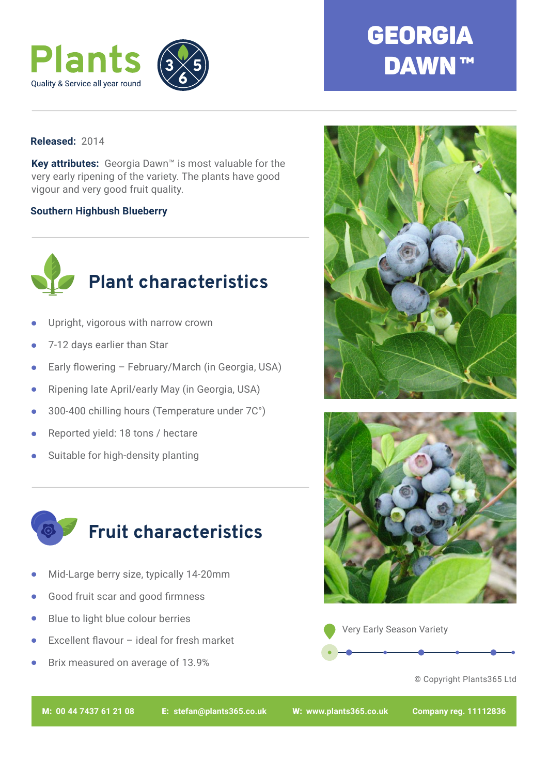

## **GEORGIA DAWN™**

## **Released:** 2014

**Key attributes:** Georgia Dawn™ is most valuable for the very early ripening of the variety. The plants have good vigour and very good fruit quality.

## **Southern Highbush Blueberry**



- Upright, vigorous with narrow crown •
- 7-12 days earlier than Star •
- Early flowering February/March (in Georgia, USA) •
- Ripening late April/early May (in Georgia, USA) •
- 300-400 chilling hours (Temperature under 7C°) •
- Reported yield: 18 tons / hectare •
- Suitable for high-density planting •



- Mid-Large berry size, typically 14-20mm •
- Good fruit scar and good firmness •
- Blue to light blue colour berries •
- Excellent flavour ideal for fresh market •
- Brix measured on average of 13.9% •







© Copyright Plants365 Ltd

M: **00 44 7437 61 21 08** E: **stefan@plants365.co.uk** W: **www.plants365.co.uk Company reg. 11112836**